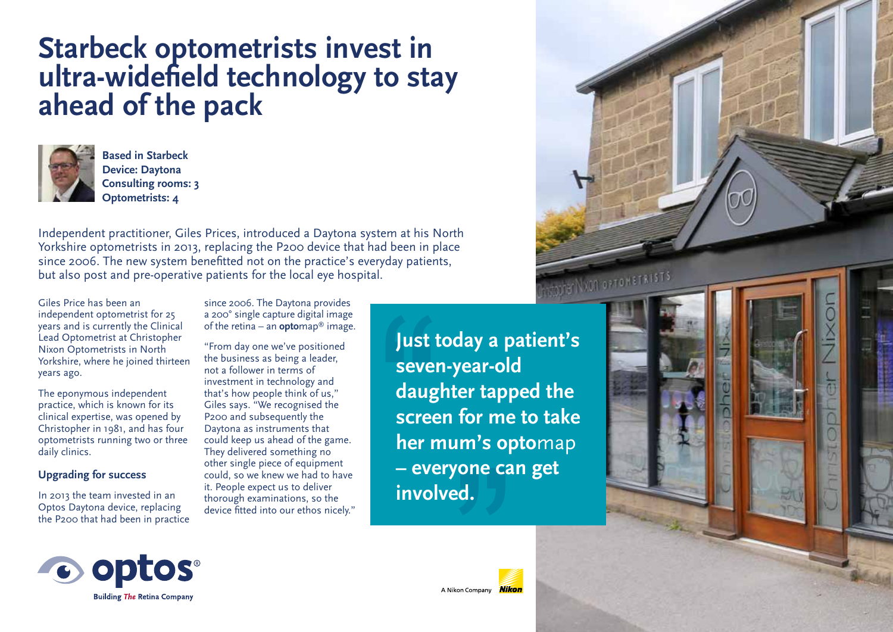# **Starbeck optometrists invest in ultra-widefield technology to stay ahead of the pack**



**Based in Starbeck Device: Daytona Consulting rooms: 3 Optometrists: 4** 

Independent practitioner, Giles Prices, introduced a Daytona system at his North Yorkshire optometrists in 2013, replacing the P200 device that had been in place since 2006. The new system benefitted not on the practice's everyday patients, but also post and pre-operative patients for the local eye hospital.

Giles Price has been an independent optometrist for 25 years and is currently the Clinical Lead Optometrist at Christopher Nixon Optometrists in North Yorkshire, where he joined thirteen years ago.

The eponymous independent practice, which is known for its clinical expertise, was opened by Christopher in 1981, and has four optometrists running two or three daily clinics.

### **Upgrading for success**

In 2013 the team invested in an Optos Daytona device, replacing the P200 that had been in practice since 2006. The Daytona provides a 200° single capture digital image of the retina – an **opto**map® image.

"From day one we've positioned the business as being a leader, not a follower in terms of investment in technology and that's how people think of us," Giles says. "We recognised the P200 and subsequently the Daytona as instruments that could keep us ahead of the game. They delivered something no other single piece of equipment could, so we knew we had to have it. People expect us to deliver thorough examinations, so the device fitted into our ethos nicely." **Just today a patient's seven-year-old daughter tapped the screen for me to take her mum's opto**map **– everyone can get involved.**